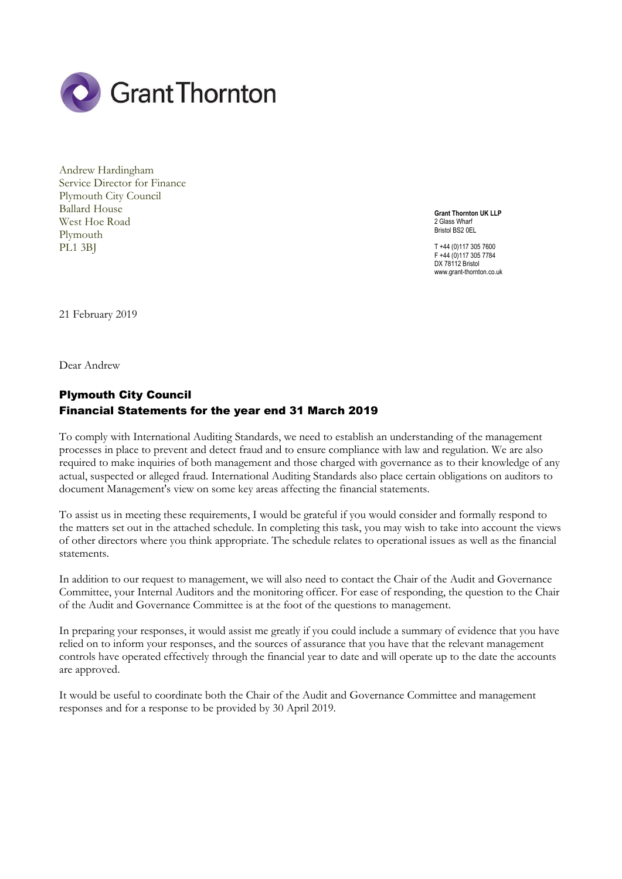

Andrew Hardingham Service Director for Finance Plymouth City Council Ballard House West Hoe Road Plymouth PL1 3BJ

**Grant Thornton UK LLP** 2 Glass Wharf Bristol BS2 0FL

T +44 (0)117 305 7600 F +44 (0)117 305 7784 DX 78112 Bristol www.grant-thornton.co.uk

21 February 2019

Dear Andrew

## Plymouth City Council Financial Statements for the year end 31 March 2019

To comply with International Auditing Standards, we need to establish an understanding of the management processes in place to prevent and detect fraud and to ensure compliance with law and regulation. We are also required to make inquiries of both management and those charged with governance as to their knowledge of any actual, suspected or alleged fraud. International Auditing Standards also place certain obligations on auditors to document Management's view on some key areas affecting the financial statements.

To assist us in meeting these requirements, I would be grateful if you would consider and formally respond to the matters set out in the attached schedule. In completing this task, you may wish to take into account the views of other directors where you think appropriate. The schedule relates to operational issues as well as the financial statements.

In addition to our request to management, we will also need to contact the Chair of the Audit and Governance Committee, your Internal Auditors and the monitoring officer. For ease of responding, the question to the Chair of the Audit and Governance Committee is at the foot of the questions to management.

In preparing your responses, it would assist me greatly if you could include a summary of evidence that you have relied on to inform your responses, and the sources of assurance that you have that the relevant management controls have operated effectively through the financial year to date and will operate up to the date the accounts are approved.

It would be useful to coordinate both the Chair of the Audit and Governance Committee and management responses and for a response to be provided by 30 April 2019.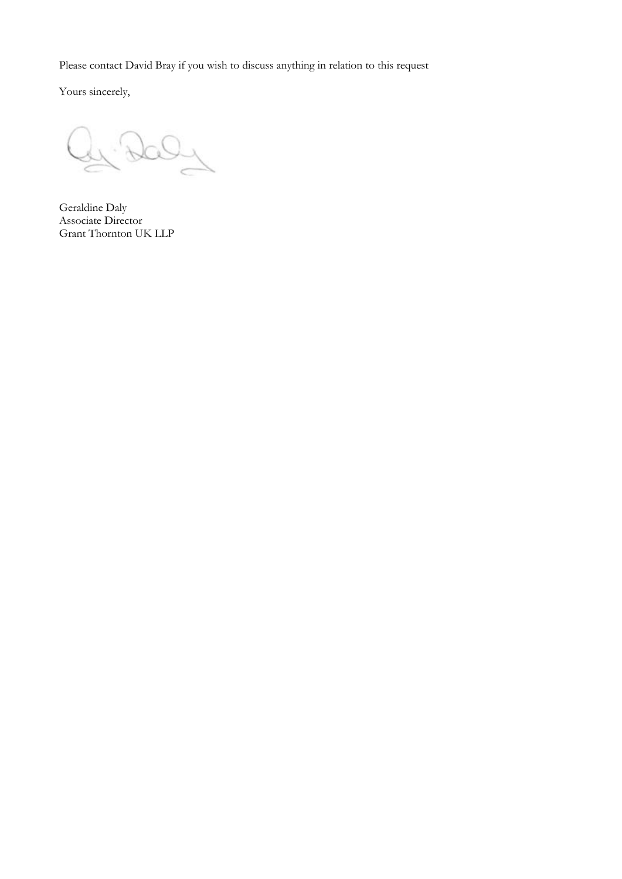Please contact David Bray if you wish to discuss anything in relation to this request

Yours sincerely,

Geraldine Daly Associate Director Grant Thornton UK LLP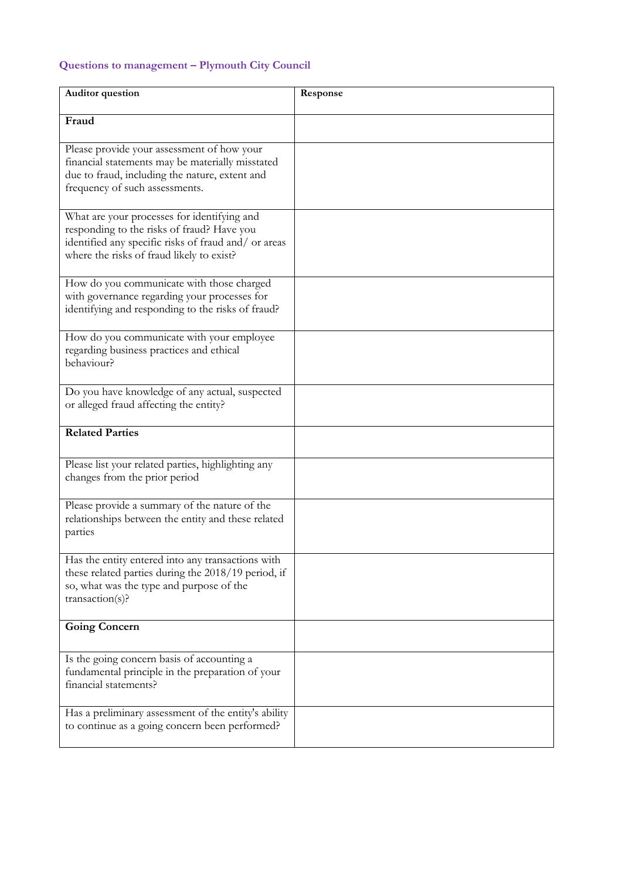## **Questions to management – Plymouth City Council**

| Auditor question                                                                                                                                                                               | Response |
|------------------------------------------------------------------------------------------------------------------------------------------------------------------------------------------------|----------|
| Fraud                                                                                                                                                                                          |          |
| Please provide your assessment of how your<br>financial statements may be materially misstated<br>due to fraud, including the nature, extent and<br>frequency of such assessments.             |          |
| What are your processes for identifying and<br>responding to the risks of fraud? Have you<br>identified any specific risks of fraud and/ or areas<br>where the risks of fraud likely to exist? |          |
| How do you communicate with those charged<br>with governance regarding your processes for<br>identifying and responding to the risks of fraud?                                                 |          |
| How do you communicate with your employee<br>regarding business practices and ethical<br>behaviour?                                                                                            |          |
| Do you have knowledge of any actual, suspected<br>or alleged fraud affecting the entity?                                                                                                       |          |
| <b>Related Parties</b>                                                                                                                                                                         |          |
| Please list your related parties, highlighting any<br>changes from the prior period                                                                                                            |          |
| Please provide a summary of the nature of the<br>relationships between the entity and these related<br>parties                                                                                 |          |
| Has the entity entered into any transactions with<br>these related parties during the 2018/19 period, if<br>so, what was the type and purpose of the<br>transaction(s)?                        |          |
| <b>Going Concern</b>                                                                                                                                                                           |          |
| Is the going concern basis of accounting a<br>fundamental principle in the preparation of your<br>financial statements?                                                                        |          |
| Has a preliminary assessment of the entity's ability<br>to continue as a going concern been performed?                                                                                         |          |